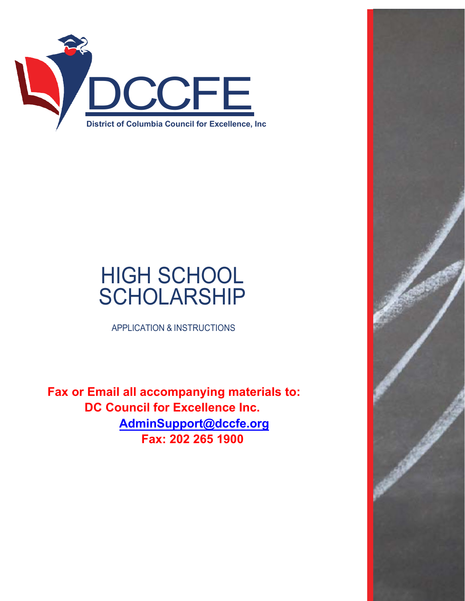

# HIGH SCHOOL **SCHOLARSHIP**

APPLICATION & INSTRUCTIONS

 **Fax or Email all accompanying materials to: DC Council for Excellence Inc. [AdminSupport](mailto:info@dccfe.org)@dccfe.org Fax: 202 265 1900**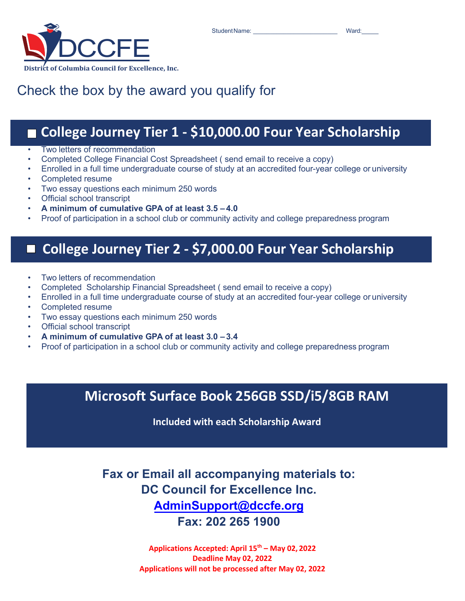StudentName: \_\_\_\_\_\_\_\_\_\_\_\_\_\_\_\_\_\_\_\_\_\_\_\_\_ Ward:\_\_\_\_\_



College Journey Tier 1

### Check the box by the award you qualify for

### **College Journey Tier 1 - \$10,000.00 Four Year Scholarship**

- Two letters of recommendation
- Completed College Financial Cost Spreadsheet ( send email to receive a copy)
- Enrolled in a full time undergraduate course of study at an accredited four-year college or university
- Completed resume
- Two essay questions each minimum 250 words
- Official school transcript
- **A minimum of cumulative GPA of at least 3.5 4.0**
- Proof of participation in a school club or community activity and college preparedness program

### Journey Tier 2 **College Journey Tier 2 - \$7,000.00 Four Year Scholarship**

- Two letters of recommendation
- Completed Scholarship Financial Spreadsheet ( send email to receive a copy)
- Enrolled in a full time undergraduate course of study at an accredited four-year college or university
- Completed resume
- Two essay questions each minimum 250 words
- Official school transcript
- **A minimum of cumulative GPA of at least 3.0 3.4**
- Proof of participation in a school club or community activity and college preparedness program

### **Microsoft Surface Book 256GB SSD/i5/8GB RAM**

**Included with each Scholarship Award**

**Fax or Email all accompanying materials to: DC Council for Excellence Inc. Adm[inSupport](mailto:info@dccfe.org)@dccfe.org Fax: 202 265 1900** 

> **Applications Accepted: April 15th – May 02, 2022 Deadline May 02, 2022 Applications will not be processed after May 02, 2022**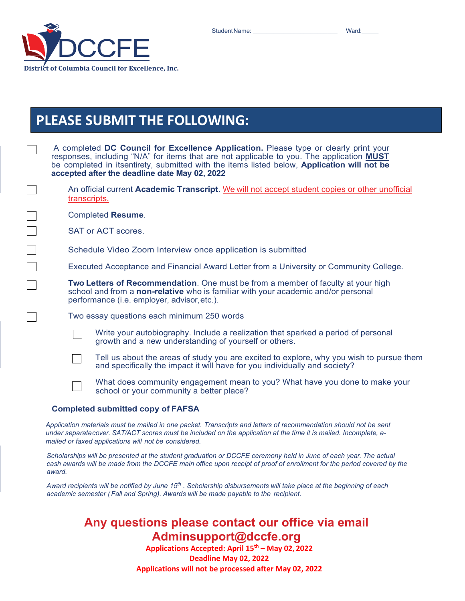Student Name: etc. All and a student Name: the student Name: the student  $\frac{1}{2}$  Ward:



### **PLEASE SUBMIT THE FOLLOWING:**

|                                                                                        | A completed DC Council for Excellence Application. Please type or clearly print your<br>responses, including "N/A" for items that are not applicable to you. The application <b>MUST</b><br>be completed in itsentirety, submitted with the items listed below, Application will not be<br>accepted after the deadline date May 02, 2022 |  |
|----------------------------------------------------------------------------------------|------------------------------------------------------------------------------------------------------------------------------------------------------------------------------------------------------------------------------------------------------------------------------------------------------------------------------------------|--|
|                                                                                        | An official current Academic Transcript. We will not accept student copies or other unofficial<br>transcripts.                                                                                                                                                                                                                           |  |
|                                                                                        | <b>Completed Resume.</b>                                                                                                                                                                                                                                                                                                                 |  |
| <b>SAT or ACT scores.</b>                                                              |                                                                                                                                                                                                                                                                                                                                          |  |
|                                                                                        | Schedule Video Zoom Interview once application is submitted                                                                                                                                                                                                                                                                              |  |
| Executed Acceptance and Financial Award Letter from a University or Community College. |                                                                                                                                                                                                                                                                                                                                          |  |
|                                                                                        | Two Letters of Recommendation. One must be from a member of faculty at your high<br>school and from a non-relative who is familiar with your academic and/or personal<br>performance (i.e. employer, advisor, etc.).                                                                                                                     |  |
|                                                                                        | Two essay questions each minimum 250 words                                                                                                                                                                                                                                                                                               |  |
|                                                                                        | Write your autobiography. Include a realization that sparked a period of personal<br>growth and a new understanding of yourself or others.                                                                                                                                                                                               |  |
|                                                                                        | Tell us about the areas of study you are excited to explore, why you wish to pursue them<br>and specifically the impact it will have for you individually and society?                                                                                                                                                                   |  |
|                                                                                        | What does community engagement mean to you? What have you done to make your<br>school or your community a better place?                                                                                                                                                                                                                  |  |
|                                                                                        | a bata di sedema Maridi secondo a CITA E O A                                                                                                                                                                                                                                                                                             |  |

#### **Completed submitted copy of FAFSA**

*Application materials must be mailed in one packet. Transcripts and letters of recommendation should not be sent under separatecover. SAT/ACT scores must be included on the application at the time it is mailed. Incomplete, emailed or faxed applications will not be considered.*

*Scholarships will be presented at the student graduation or DCCFE ceremony held in June of each year. The actual cash awards will be made from the DCCFE main office upon receipt of proof of enrollment for the period covered by the award.*

*Award recipients will be notified by June 15th . Scholarship disbursements will take place at the beginning of each academic semester (Fall and Spring). Awards will be made payable to the recipient.*

#### **Any questions please contact our office via email Adminsupport@dccfe.org**

**Applications Accepted: April 15th – May 02, 2022 Deadline May 02, 2022 Applications will not be processed after May 02, 2022**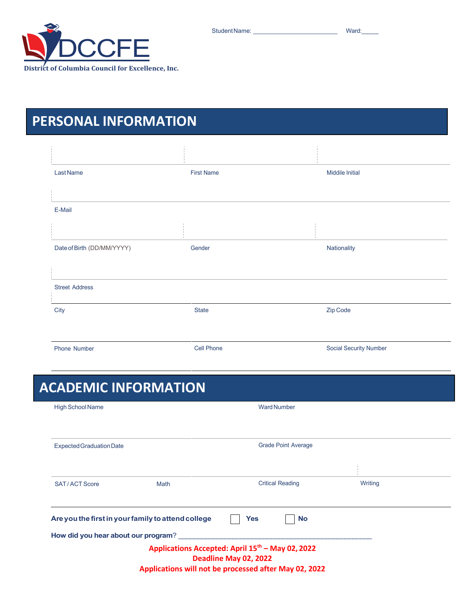StudentName: \_\_\_\_\_\_\_\_\_\_\_\_\_\_\_\_\_\_\_\_\_\_\_\_\_ Ward:\_\_\_\_\_



### **PERSONAL INFORMATION**

| Last Name                  | <b>First Name</b> | <b>Middile Initial</b> |
|----------------------------|-------------------|------------------------|
|                            |                   |                        |
| E-Mail                     |                   |                        |
|                            |                   |                        |
| Date of Birth (DD/MM/YYYY) | Gender            | Nationality            |
|                            |                   |                        |
| <b>Street Address</b>      |                   |                        |
| City                       | <b>State</b>      | Zip Code               |
|                            |                   |                        |
| Phone Number               | Cell Phone        | Social Security Number |

## **ACADEMIC INFORMATION**

| <b>High School Name</b>             |                                                    | <b>Ward Number</b>                                                                    |         |
|-------------------------------------|----------------------------------------------------|---------------------------------------------------------------------------------------|---------|
| Expected Graduation Date            |                                                    | <b>Grade Point Average</b>                                                            |         |
|                                     |                                                    |                                                                                       |         |
| SAT/ACT Score                       | <b>Math</b>                                        | <b>Critical Reading</b>                                                               | Writing |
|                                     | Are you the first in your family to attend college | Yes<br><b>No</b>                                                                      |         |
| How did you hear about our program? |                                                    |                                                                                       |         |
|                                     |                                                    | Applications Accepted: April 15 <sup>th</sup> – May 02, 2022<br>Deadline May 02, 2022 |         |
|                                     |                                                    | Applications will not be processed after May 02, 2022                                 |         |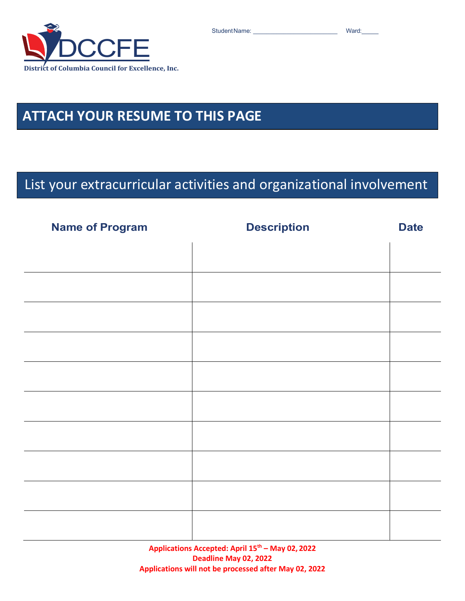

### **ATTACH YOUR RESUME TO THIS PAGE**

### List your extracurricular activities and organizational involvement

| <b>Name of Program</b> | <b>Description</b> | <b>Date</b> |
|------------------------|--------------------|-------------|
|                        |                    |             |
|                        |                    |             |
|                        |                    |             |
|                        |                    |             |
|                        |                    |             |
|                        |                    |             |
|                        |                    |             |
|                        |                    |             |
|                        |                    |             |
|                        |                    |             |